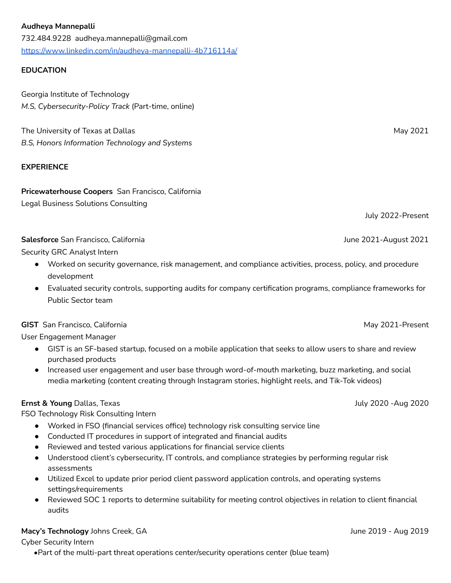#### **Audheya Mannepalli**

732.484.9228 audheya.mannepalli@gmail.com <https://www.linkedin.com/in/audheya-mannepalli-4b716114a/>

### **EDUCATION**

Georgia Institute of Technology *M.S, Cybersecurity-Policy Track* (Part-time, online)

The University of Texas at Dallas May 2021 *B.S, Honors Information Technology and Systems*

#### **EXPERIENCE**

# **Pricewaterhouse Coopers** San Francisco, California

Legal Business Solutions Consulting

July 2022-Present

# **Salesforce** San Francisco, California June 2021-August 2021

Security GRC Analyst Intern

- Worked on security governance, risk management, and compliance activities, process, policy, and procedure development
- Evaluated security controls, supporting audits for company certification programs, compliance frameworks for Public Sector team

**GIST** San Francisco, California May 2021-Present

User Engagement Manager

- GIST is an SF-based startup, focused on a mobile application that seeks to allow users to share and review purchased products
- Increased user engagement and user base through word-of-mouth marketing, buzz marketing, and social media marketing (content creating through Instagram stories, highlight reels, and Tik-Tok videos)

# **Ernst & Young** Dallas, Texas July 2020 -Aug 2020

FSO Technology Risk Consulting Intern

- Worked in FSO (financial services office) technology risk consulting service line
- Conducted IT procedures in support of integrated and financial audits
- Reviewed and tested various applications for financial service clients
- Understood client's cybersecurity, IT controls, and compliance strategies by performing regular risk assessments
- Utilized Excel to update prior period client password application controls, and operating systems settings/requirements
- Reviewed SOC 1 reports to determine suitability for meeting control objectives in relation to client financial audits

#### **Macy's Technology** Johns Creek, GA **June 2019** - Aug 2019 - Aug 2019 - Aug 2019

Cyber Security Intern

**•**Part of the multi-part threat operations center/security operations center (blue team)